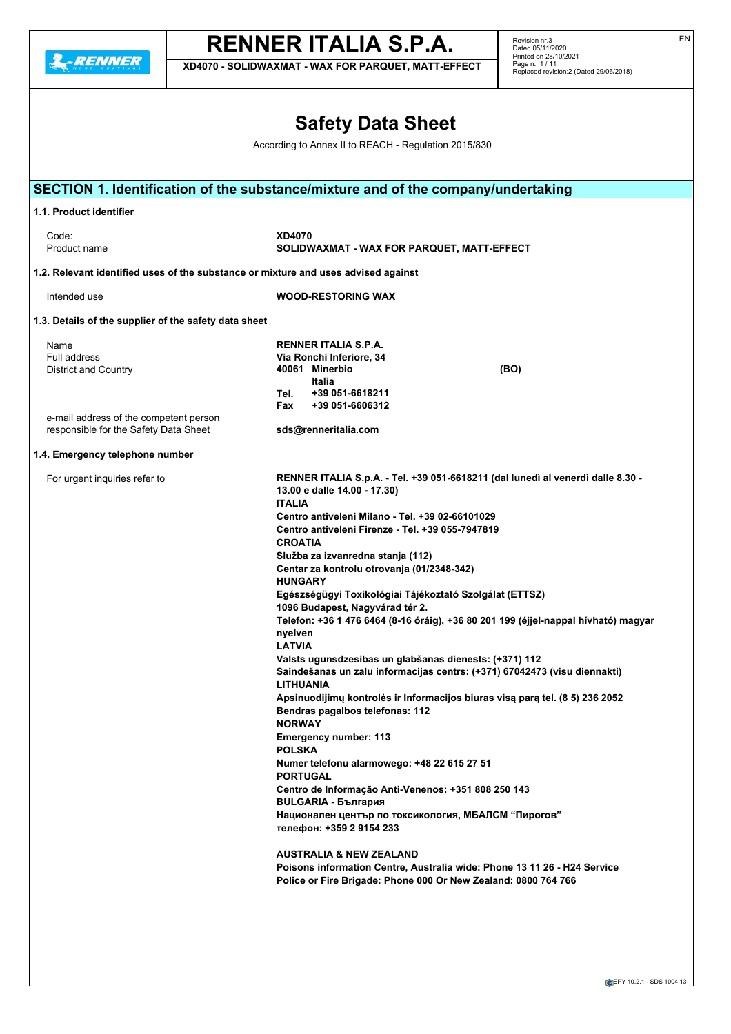**A**-RENNER

# **RENNER ITALIA S.P.A.**

**XD4070 - SOLIDWAXMAT - WAX FOR PARQUET, MATT-EFFECT**

Revision nr.3 Dated 05/11/2020 Printed on 28/10/2021 Page n. 1 / 11 Replaced revision:2 (Dated 29/06/2018)

|                                                                                                                                        | <b>Safety Data Sheet</b>                                                                                                                                                                                                                                                                                                                                                                                                                                                                                                                                                                                                                                                                                                                                                                                                                                                                                                                                                                                                                                                                                                                                                                                                                                                                                                                               |
|----------------------------------------------------------------------------------------------------------------------------------------|--------------------------------------------------------------------------------------------------------------------------------------------------------------------------------------------------------------------------------------------------------------------------------------------------------------------------------------------------------------------------------------------------------------------------------------------------------------------------------------------------------------------------------------------------------------------------------------------------------------------------------------------------------------------------------------------------------------------------------------------------------------------------------------------------------------------------------------------------------------------------------------------------------------------------------------------------------------------------------------------------------------------------------------------------------------------------------------------------------------------------------------------------------------------------------------------------------------------------------------------------------------------------------------------------------------------------------------------------------|
|                                                                                                                                        | According to Annex II to REACH - Regulation 2015/830                                                                                                                                                                                                                                                                                                                                                                                                                                                                                                                                                                                                                                                                                                                                                                                                                                                                                                                                                                                                                                                                                                                                                                                                                                                                                                   |
|                                                                                                                                        | SECTION 1. Identification of the substance/mixture and of the company/undertaking                                                                                                                                                                                                                                                                                                                                                                                                                                                                                                                                                                                                                                                                                                                                                                                                                                                                                                                                                                                                                                                                                                                                                                                                                                                                      |
| 1.1. Product identifier                                                                                                                |                                                                                                                                                                                                                                                                                                                                                                                                                                                                                                                                                                                                                                                                                                                                                                                                                                                                                                                                                                                                                                                                                                                                                                                                                                                                                                                                                        |
| Code:<br>Product name                                                                                                                  | <b>XD4070</b><br>SOLIDWAXMAT - WAX FOR PARQUET, MATT-EFFECT                                                                                                                                                                                                                                                                                                                                                                                                                                                                                                                                                                                                                                                                                                                                                                                                                                                                                                                                                                                                                                                                                                                                                                                                                                                                                            |
| 1.2. Relevant identified uses of the substance or mixture and uses advised against                                                     |                                                                                                                                                                                                                                                                                                                                                                                                                                                                                                                                                                                                                                                                                                                                                                                                                                                                                                                                                                                                                                                                                                                                                                                                                                                                                                                                                        |
| Intended use                                                                                                                           | <b>WOOD-RESTORING WAX</b>                                                                                                                                                                                                                                                                                                                                                                                                                                                                                                                                                                                                                                                                                                                                                                                                                                                                                                                                                                                                                                                                                                                                                                                                                                                                                                                              |
| 1.3. Details of the supplier of the safety data sheet                                                                                  |                                                                                                                                                                                                                                                                                                                                                                                                                                                                                                                                                                                                                                                                                                                                                                                                                                                                                                                                                                                                                                                                                                                                                                                                                                                                                                                                                        |
| Name<br><b>Full address</b><br>District and Country<br>e-mail address of the competent person<br>responsible for the Safety Data Sheet | RENNER ITALIA S.P.A.<br>Via Ronchi Inferiore, 34<br>40061 Minerbio<br>(BO)<br>Italia<br>Tel.<br>+39 051-6618211<br>+39 051-6606312<br>Fax<br>sds@renneritalia.com                                                                                                                                                                                                                                                                                                                                                                                                                                                                                                                                                                                                                                                                                                                                                                                                                                                                                                                                                                                                                                                                                                                                                                                      |
| 1.4. Emergency telephone number                                                                                                        |                                                                                                                                                                                                                                                                                                                                                                                                                                                                                                                                                                                                                                                                                                                                                                                                                                                                                                                                                                                                                                                                                                                                                                                                                                                                                                                                                        |
| For urgent inquiries refer to                                                                                                          | RENNER ITALIA S.p.A. - Tel. +39 051-6618211 (dal lunedì al venerdì dalle 8.30 -<br>13.00 e dalle 14.00 - 17.30)<br><b>ITALIA</b><br>Centro antiveleni Milano - Tel. +39 02-66101029<br>Centro antiveleni Firenze - Tel. +39 055-7947819<br><b>CROATIA</b><br>Služba za izvanredna stanja (112)<br>Centar za kontrolu otrovanja (01/2348-342)<br><b>HUNGARY</b><br>Egészségügyi Toxikológiai Tájékoztató Szolgálat (ETTSZ)<br>1096 Budapest, Nagyvárad tér 2.<br>Telefon: +36 1 476 6464 (8-16 óráig), +36 80 201 199 (éjjel-nappal hívható) magyar<br>nyelven<br>I ATVIA<br>Valsts ugunsdzesibas un glabšanas dienests: (+371) 112<br>Saindešanas un zalu informacijas centrs: (+371) 67042473 (visu diennakti)<br><b>LITHUANIA</b><br>Apsinuodijimų kontrolės ir Informacijos biuras visą parą tel. (8 5) 236 2052<br>Bendras pagalbos telefonas: 112<br><b>NORWAY</b><br><b>Emergency number: 113</b><br><b>POLSKA</b><br>Numer telefonu alarmowego: +48 22 615 27 51<br><b>PORTUGAL</b><br>Centro de Informação Anti-Venenos: +351 808 250 143<br><b>BULGARIA - България</b><br>Национален център по токсикология, МБАЛСМ "Пирогов"<br>телефон: +359 2 9154 233<br><b>AUSTRALIA &amp; NEW ZEALAND</b><br>Poisons information Centre, Australia wide: Phone 13 11 26 - H24 Service<br>Police or Fire Brigade: Phone 000 Or New Zealand: 0800 764 766 |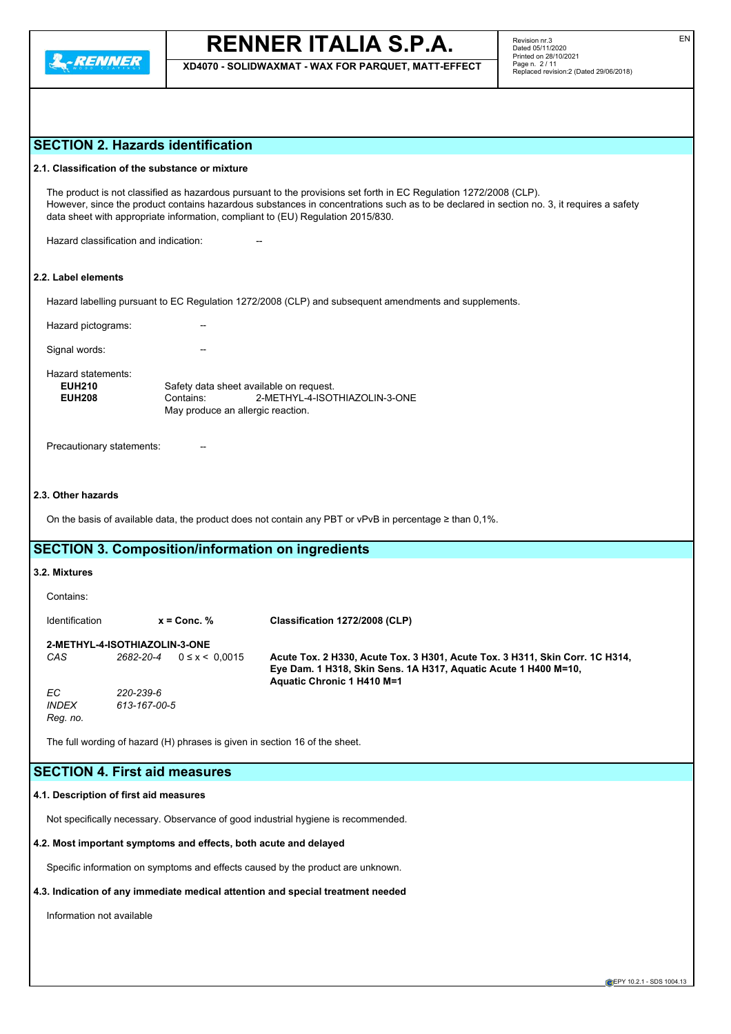

**XD4070 - SOLIDWAXMAT - WAX FOR PARQUET, MATT-EFFECT**

## **SECTION 2. Hazards identification**

## **2.1. Classification of the substance or mixture**

The product is not classified as hazardous pursuant to the provisions set forth in EC Regulation 1272/2008 (CLP). However, since the product contains hazardous substances in concentrations such as to be declared in section no. 3, it requires a safety data sheet with appropriate information, compliant to (EU) Regulation 2015/830.

Hazard classification and indication:

## **2.2. Label elements**

Hazard labelling pursuant to EC Regulation 1272/2008 (CLP) and subsequent amendments and supplements.

Hazard pictograms:

Signal words:

Hazard statements:

| <b>EUH210</b> |           | Safety data sheet available on request. |  |  |  |
|---------------|-----------|-----------------------------------------|--|--|--|
| <b>EUH208</b> | Contains: | 2-METHYL-4-ISOTHIAZOLIN-3-ONE           |  |  |  |
|               |           | May produce an allergic reaction.       |  |  |  |
|               |           |                                         |  |  |  |

Precautionary statements:

## **2.3. Other hazards**

On the basis of available data, the product does not contain any PBT or vPvB in percentage ≥ than 0,1%.

## **SECTION 3. Composition/information on ingredients**

## **3.2. Mixtures**

Contains: Identification **x = Conc. % Classification 1272/2008 (CLP) 2-METHYL-4-ISOTHIAZOLIN-3-ONE** *CAS 2682-20-4* 0 ≤ x < 0,0015 **Acute Tox. 2 H330, Acute Tox. 3 H301, Acute Tox. 3 H311, Skin Corr. 1C H314, Eye Dam. 1 H318, Skin Sens. 1A H317, Aquatic Acute 1 H400 M=10, Aquatic Chronic 1 H410 M=1** *EC 220-239-6 INDEX 613-167-00-5 Reg. no.*

The full wording of hazard (H) phrases is given in section 16 of the sheet.

## **SECTION 4. First aid measures**

### **4.1. Description of first aid measures**

Not specifically necessary. Observance of good industrial hygiene is recommended.

### **4.2. Most important symptoms and effects, both acute and delayed**

Specific information on symptoms and effects caused by the product are unknown.

## **4.3. Indication of any immediate medical attention and special treatment needed**

Information not available

EN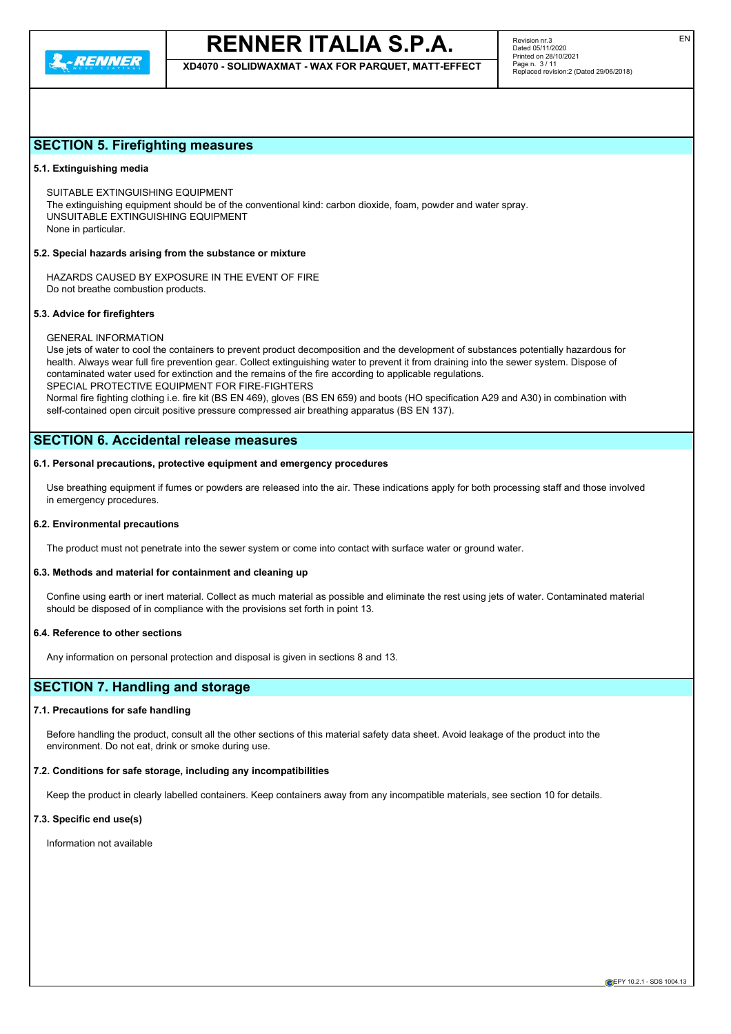

**XD4070 - SOLIDWAXMAT - WAX FOR PARQUET, MATT-EFFECT**

## **SECTION 5. Firefighting measures**

## **5.1. Extinguishing media**

SUITABLE EXTINGUISHING EQUIPMENT The extinguishing equipment should be of the conventional kind: carbon dioxide, foam, powder and water spray. UNSUITABLE EXTINGUISHING EQUIPMENT

None in particular.

## **5.2. Special hazards arising from the substance or mixture**

HAZARDS CAUSED BY EXPOSURE IN THE EVENT OF FIRE Do not breathe combustion products.

### **5.3. Advice for firefighters**

### GENERAL INFORMATION

Use jets of water to cool the containers to prevent product decomposition and the development of substances potentially hazardous for health. Always wear full fire prevention gear. Collect extinguishing water to prevent it from draining into the sewer system. Dispose of contaminated water used for extinction and the remains of the fire according to applicable regulations. SPECIAL PROTECTIVE EQUIPMENT FOR FIRE-FIGHTERS Normal fire fighting clothing i.e. fire kit (BS EN 469), gloves (BS EN 659) and boots (HO specification A29 and A30) in combination with

self-contained open circuit positive pressure compressed air breathing apparatus (BS EN 137).

## **SECTION 6. Accidental release measures**

## **6.1. Personal precautions, protective equipment and emergency procedures**

Use breathing equipment if fumes or powders are released into the air. These indications apply for both processing staff and those involved in emergency procedures.

## **6.2. Environmental precautions**

The product must not penetrate into the sewer system or come into contact with surface water or ground water.

## **6.3. Methods and material for containment and cleaning up**

Confine using earth or inert material. Collect as much material as possible and eliminate the rest using jets of water. Contaminated material should be disposed of in compliance with the provisions set forth in point 13.

### **6.4. Reference to other sections**

Any information on personal protection and disposal is given in sections 8 and 13.

## **SECTION 7. Handling and storage**

## **7.1. Precautions for safe handling**

Before handling the product, consult all the other sections of this material safety data sheet. Avoid leakage of the product into the environment. Do not eat, drink or smoke during use.

## **7.2. Conditions for safe storage, including any incompatibilities**

Keep the product in clearly labelled containers. Keep containers away from any incompatible materials, see section 10 for details.

## **7.3. Specific end use(s)**

Information not available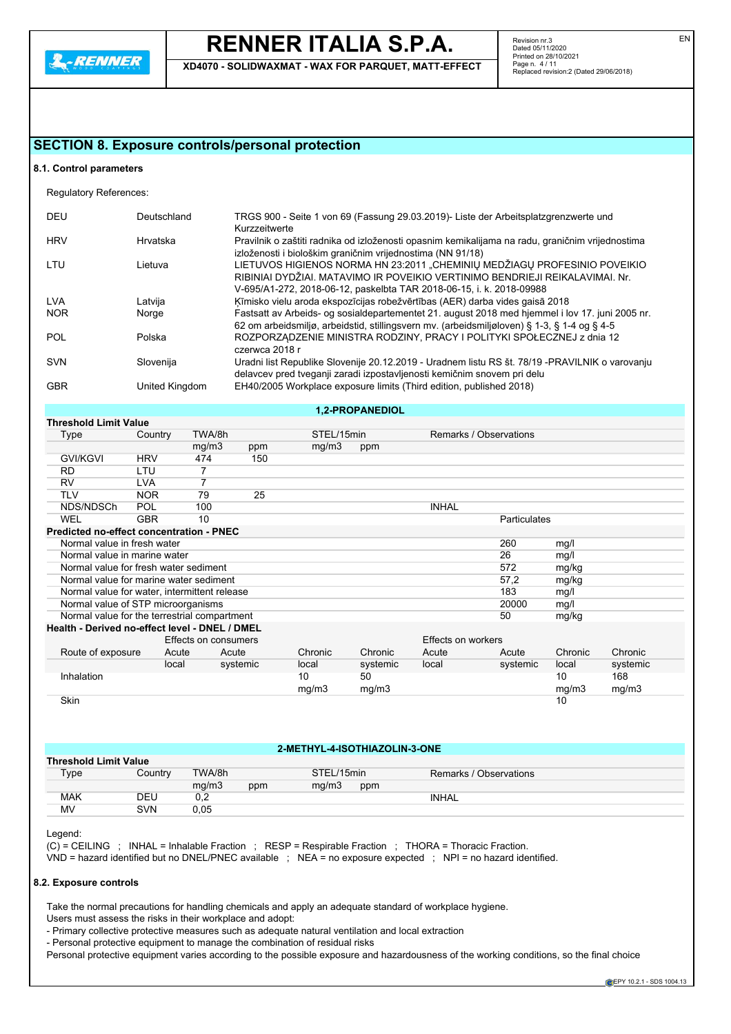**L. RENNER** 

## **RENNER ITALIA S.P.A.**

**XD4070 - SOLIDWAXMAT - WAX FOR PARQUET, MATT-EFFECT**

Revision nr.3 Dated 05/11/2020 Printed on 28/10/2021 Page n. 4 / 11 Replaced revision:2 (Dated 29/06/2018)

## **SECTION 8. Exposure controls/personal protection**

### **8.1. Control parameters**

Regulatory References:

| <b>DEU</b> | Deutschland    | TRGS 900 - Seite 1 von 69 (Fassung 29.03.2019)- Liste der Arbeitsplatzgrenzwerte und<br>Kurzzeitwerte                                                                                                                             |
|------------|----------------|-----------------------------------------------------------------------------------------------------------------------------------------------------------------------------------------------------------------------------------|
| <b>HRV</b> | Hrvatska       | Pravilnik o zaštiti radnika od izloženosti opasnim kemikalijama na radu, graničnim vrijednostima<br>izloženosti i biološkim graničnim vrijednostima (NN 91/18)                                                                    |
| LTU        | Lietuva        | LIETUVOS HIGIENOS NORMA HN 23:2011 "CHEMINIŲ MEDŽIAGŲ PROFESINIO POVEIKIO<br>RIBINIAI DYDŽIAI. MATAVIMO IR POVEIKIO VERTINIMO BENDRIEJI REIKALAVIMAI. Nr.<br>V-695/A1-272, 2018-06-12, paskelbta TAR 2018-06-15, i. k. 2018-09988 |
| <b>LVA</b> | Latvija        | Ķīmisko vielu aroda ekspozīcijas robežvērtības (AER) darba vides gaisā 2018                                                                                                                                                       |
| <b>NOR</b> | Norge          | Fastsatt av Arbeids- og sosialdepartementet 21. august 2018 med hjemmel i lov 17. juni 2005 nr.<br>62 om arbeidsmiljø, arbeidstid, stillingsvern mv. (arbeidsmiljøloven) § 1-3, § 1-4 og § 4-5                                    |
| <b>POL</b> | Polska         | ROZPORZADZENIE MINISTRA RODZINY, PRACY I POLITYKI SPOŁECZNEJ z dnia 12<br>czerwca 2018 r                                                                                                                                          |
| <b>SVN</b> | Slovenija      | Uradni list Republike Slovenije 20.12.2019 - Uradnem listu RS št. 78/19 -PRAVILNIK o varovanju<br>delavcev pred tveganji zaradi izpostavljenosti kemičnim snovem pri delu                                                         |
| <b>GBR</b> | United Kingdom | EH40/2005 Workplace exposure limits (Third edition, published 2018)                                                                                                                                                               |

## **1,2-PROPANEDIOL**

| <b>Threshold Limit Value</b>                    |            |                      |          |            |          |                    |                        |         |          |
|-------------------------------------------------|------------|----------------------|----------|------------|----------|--------------------|------------------------|---------|----------|
| Type                                            | Country    | TWA/8h               |          | STEL/15min |          |                    | Remarks / Observations |         |          |
|                                                 |            | mg/m3                | ppm      | mg/m3      | ppm      |                    |                        |         |          |
| <b>GVI/KGVI</b>                                 | <b>HRV</b> | 474                  | 150      |            |          |                    |                        |         |          |
| <b>RD</b>                                       | LTU        | 7                    |          |            |          |                    |                        |         |          |
| <b>RV</b>                                       | <b>LVA</b> | 7                    |          |            |          |                    |                        |         |          |
| <b>TLV</b>                                      | <b>NOR</b> | 79                   | 25       |            |          |                    |                        |         |          |
| NDS/NDSCh                                       | <b>POL</b> | 100                  |          |            |          | <b>INHAL</b>       |                        |         |          |
| <b>WEL</b>                                      | <b>GBR</b> | 10                   |          |            |          |                    | <b>Particulates</b>    |         |          |
| <b>Predicted no-effect concentration - PNEC</b> |            |                      |          |            |          |                    |                        |         |          |
| Normal value in fresh water                     |            |                      |          |            |          |                    | 260                    | mg/l    |          |
| Normal value in marine water                    |            |                      |          |            |          |                    | 26                     | mg/l    |          |
| Normal value for fresh water sediment           |            |                      |          |            |          |                    | 572                    | mg/kg   |          |
| Normal value for marine water sediment          |            |                      |          |            |          |                    | 57,2                   | mg/kg   |          |
| Normal value for water, intermittent release    |            |                      |          |            |          |                    | 183                    | mg/l    |          |
| Normal value of STP microorganisms              |            |                      |          |            |          |                    | 20000                  | mg/l    |          |
| Normal value for the terrestrial compartment    |            |                      |          |            |          |                    | 50                     | mg/kg   |          |
| Health - Derived no-effect level - DNEL / DMEL  |            |                      |          |            |          |                    |                        |         |          |
|                                                 |            | Effects on consumers |          |            |          | Effects on workers |                        |         |          |
| Route of exposure                               | Acute      | Acute                |          | Chronic    | Chronic  | Acute              | Acute                  | Chronic | Chronic  |
|                                                 | local      |                      | systemic | local      | systemic | local              | systemic               | local   | systemic |
| Inhalation                                      |            |                      |          | 10         | 50       |                    |                        | 10      | 168      |
|                                                 |            |                      |          | mg/m3      | mg/m3    |                    |                        | mg/m3   | mg/m3    |
| Skin                                            |            |                      |          |            |          |                    |                        | 10      |          |

## **2-METHYL-4-ISOTHIAZOLIN-3-ONE**

| <b>Threshold Limit Value</b> |            |           |     |            |     |                        |
|------------------------------|------------|-----------|-----|------------|-----|------------------------|
| Type                         | Country    | TWA/8h    |     | STEL/15min |     | Remarks / Observations |
|                              |            | mq/m3     | ppm | ma/m3      | ppm |                        |
| <b>MAK</b>                   | <b>DEU</b> | ∩∩<br>◡.∠ |     |            |     | INHAL                  |
| MV                           | <b>SVN</b> | 0.05      |     |            |     |                        |

Legend:

 $(C)$  = CEILING ; INHAL = Inhalable Fraction ; RESP = Respirable Fraction ; THORA = Thoracic Fraction. VND = hazard identified but no DNEL/PNEC available ; NEA = no exposure expected ; NPI = no hazard identified.

### **8.2. Exposure controls**

Take the normal precautions for handling chemicals and apply an adequate standard of workplace hygiene.

Users must assess the risks in their workplace and adopt:

- Primary collective protective measures such as adequate natural ventilation and local extraction

- Personal protective equipment to manage the combination of residual risks

Personal protective equipment varies according to the possible exposure and hazardousness of the working conditions, so the final choice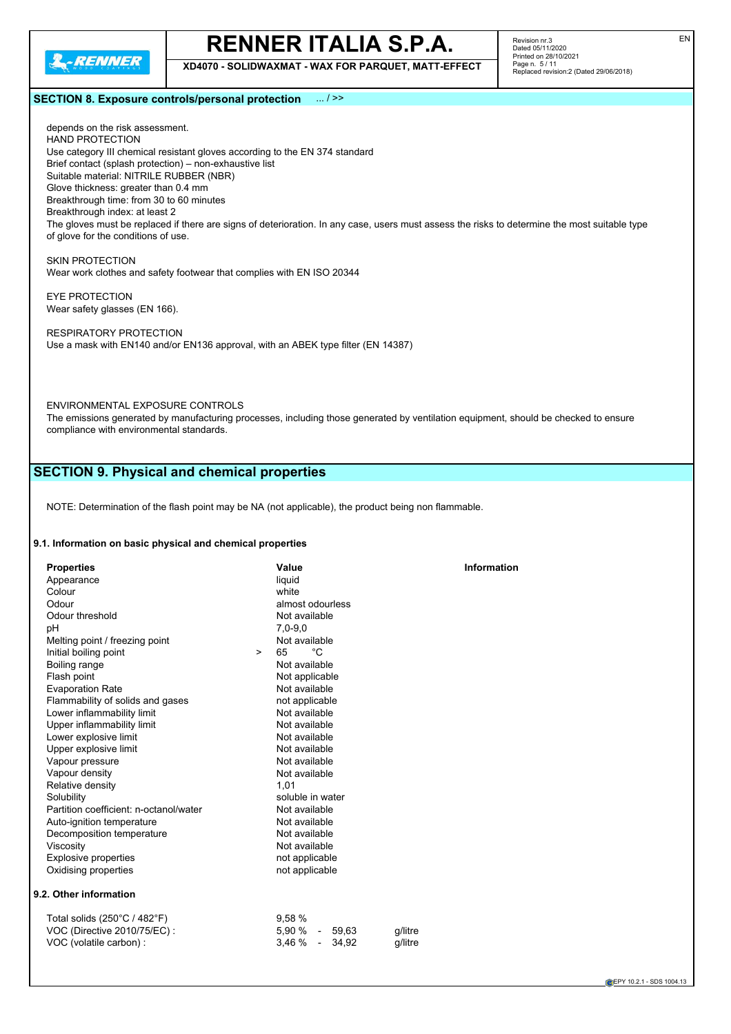

**XD4070 - SOLIDWAXMAT - WAX FOR PARQUET, MATT-EFFECT**

## **SECTION 8. Exposure controls/personal protection** ... / >>

depends on the risk assessment. HAND PROTECTION Use category III chemical resistant gloves according to the EN 374 standard Brief contact (splash protection) – non-exhaustive list Suitable material: NITRILE RUBBER (NBR) Glove thickness: greater than 0.4 mm Breakthrough time: from 30 to 60 minutes Breakthrough index: at least 2 The gloves must be replaced if there are signs of deterioration. In any case, users must assess the risks to determine the most suitable type of glove for the conditions of use.

SKIN PROTECTION Wear work clothes and safety footwear that complies with EN ISO 20344

EYE PROTECTION Wear safety glasses (EN 166).

RESPIRATORY PROTECTION Use a mask with EN140 and/or EN136 approval, with an ABEK type filter (EN 14387)

ENVIRONMENTAL EXPOSURE CONTROLS

The emissions generated by manufacturing processes, including those generated by ventilation equipment, should be checked to ensure compliance with environmental standards.

## **SECTION 9. Physical and chemical properties**

NOTE: Determination of the flash point may be NA (not applicable), the product being non flammable.

## **9.1. Information on basic physical and chemical properties**

| <b>Properties</b>                            |        | Value            | <b>Information</b> |  |
|----------------------------------------------|--------|------------------|--------------------|--|
| Appearance                                   |        | liquid           |                    |  |
| Colour                                       |        | white            |                    |  |
| Odour                                        |        | almost odourless |                    |  |
| Odour threshold                              |        | Not available    |                    |  |
| рH                                           |        | $7,0-9,0$        |                    |  |
| Melting point / freezing point               |        | Not available    |                    |  |
| Initial boiling point                        | $\geq$ | °C<br>65         |                    |  |
| Boiling range                                |        | Not available    |                    |  |
| Flash point                                  |        | Not applicable   |                    |  |
| <b>Evaporation Rate</b>                      |        | Not available    |                    |  |
| Flammability of solids and gases             |        | not applicable   |                    |  |
| Lower inflammability limit                   |        | Not available    |                    |  |
| Upper inflammability limit                   |        | Not available    |                    |  |
| Lower explosive limit                        |        | Not available    |                    |  |
| Upper explosive limit                        |        | Not available    |                    |  |
| Vapour pressure                              |        | Not available    |                    |  |
| Vapour density                               |        | Not available    |                    |  |
| Relative density                             |        | 1,01             |                    |  |
| Solubility                                   |        | soluble in water |                    |  |
| Partition coefficient: n-octanol/water       |        | Not available    |                    |  |
| Auto-ignition temperature                    |        | Not available    |                    |  |
| Decomposition temperature                    |        | Not available    |                    |  |
| Viscosity                                    |        | Not available    |                    |  |
| <b>Explosive properties</b>                  |        | not applicable   |                    |  |
| Oxidising properties                         |        | not applicable   |                    |  |
| 9.2. Other information                       |        |                  |                    |  |
| Total solids $(250^{\circ}C / 482^{\circ}F)$ |        | 9,58%            |                    |  |
| VOC (Directive 2010/75/EC):                  |        | 5,90 % - 59,63   | g/litre            |  |
| VOC (volatile carbon) :                      |        | 3,46 % - 34,92   | a/litre            |  |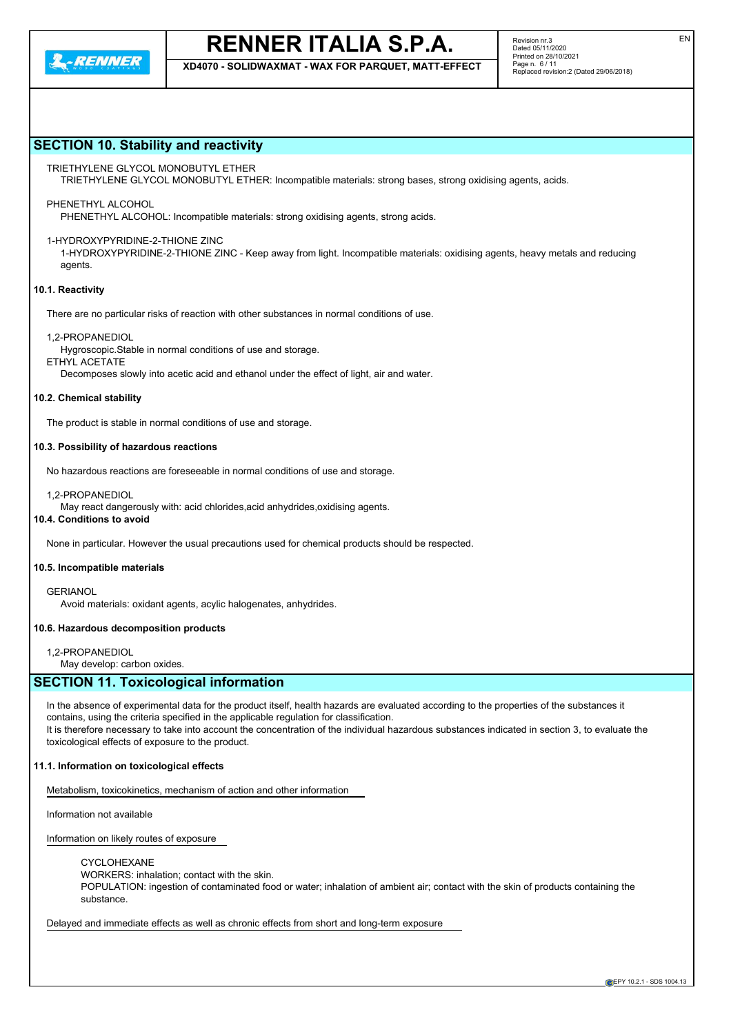**XD4070 - SOLIDWAXMAT - WAX FOR PARQUET, MATT-EFFECT**

## **SECTION 10. Stability and reactivity**

## TRIETHYLENE GLYCOL MONOBUTYL ETHER

TRIETHYLENE GLYCOL MONOBUTYL ETHER: Incompatible materials: strong bases, strong oxidising agents, acids.

## PHENETHYL ALCOHOL

PHENETHYL ALCOHOL: Incompatible materials: strong oxidising agents, strong acids.

## 1-HYDROXYPYRIDINE-2-THIONE ZINC

1-HYDROXYPYRIDINE-2-THIONE ZINC - Keep away from light. Incompatible materials: oxidising agents, heavy metals and reducing agents.

## **10.1. Reactivity**

There are no particular risks of reaction with other substances in normal conditions of use.

### 1,2-PROPANEDIOL

Hygroscopic.Stable in normal conditions of use and storage.

ETHYL ACETATE

Decomposes slowly into acetic acid and ethanol under the effect of light, air and water.

#### **10.2. Chemical stability**

The product is stable in normal conditions of use and storage.

### **10.3. Possibility of hazardous reactions**

No hazardous reactions are foreseeable in normal conditions of use and storage.

1,2-PROPANEDIOL

May react dangerously with: acid chlorides,acid anhydrides,oxidising agents.

## **10.4. Conditions to avoid**

None in particular. However the usual precautions used for chemical products should be respected.

### **10.5. Incompatible materials**

**GERIANOL** 

Avoid materials: oxidant agents, acylic halogenates, anhydrides.

### **10.6. Hazardous decomposition products**

1,2-PROPANEDIOL

May develop: carbon oxides.

## **SECTION 11. Toxicological information**

In the absence of experimental data for the product itself, health hazards are evaluated according to the properties of the substances it contains, using the criteria specified in the applicable regulation for classification. It is therefore necessary to take into account the concentration of the individual hazardous substances indicated in section 3, to evaluate the toxicological effects of exposure to the product.

### **11.1. Information on toxicological effects**

Metabolism, toxicokinetics, mechanism of action and other information

Information not available

Information on likely routes of exposure

#### CYCLOHEXANE

WORKERS: inhalation; contact with the skin.

POPULATION: ingestion of contaminated food or water; inhalation of ambient air; contact with the skin of products containing the substance.

Delayed and immediate effects as well as chronic effects from short and long-term exposure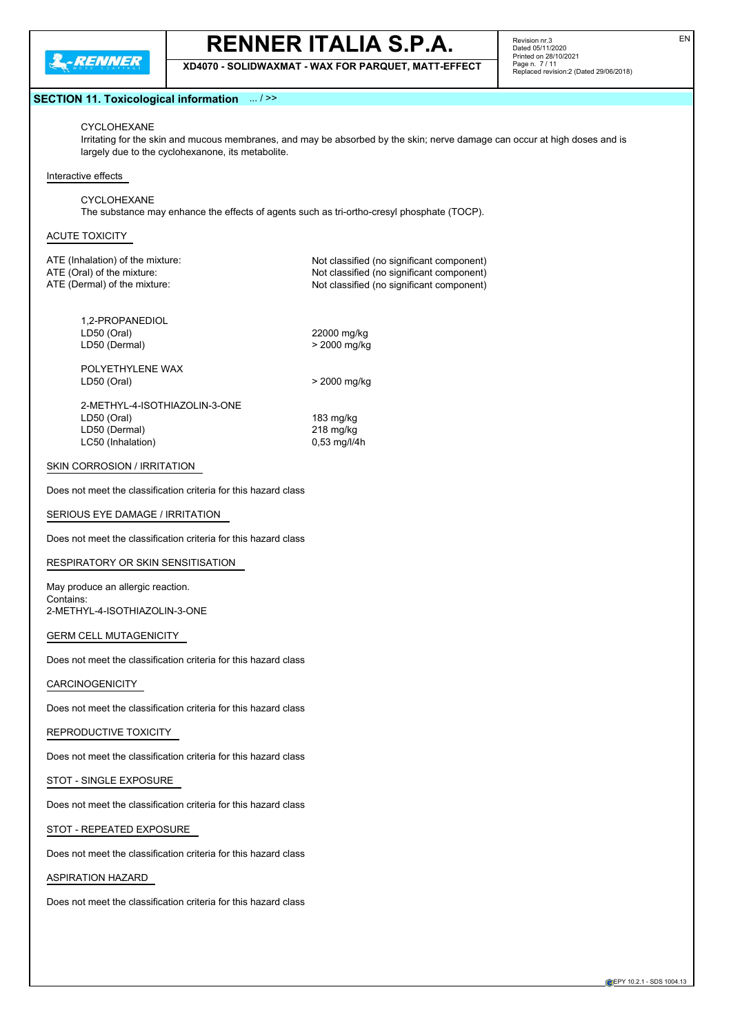

**XD4070 - SOLIDWAXMAT - WAX FOR PARQUET, MATT-EFFECT**

Revision nr.3 Dated 05/11/2020 Printed on 28/10/2021 Page n. 7 / 11 Replaced revision:2 (Dated 29/06/2018)

## **SECTION 11. Toxicological information** ... / >>

## CYCLOHEXANE

Irritating for the skin and mucous membranes, and may be absorbed by the skin; nerve damage can occur at high doses and is largely due to the cyclohexanone, its metabolite.

#### Interactive effects

CYCLOHEXANE The substance may enhance the effects of agents such as tri-ortho-cresyl phosphate (TOCP).

## ACUTE TOXICITY

ATE (Inhalation) of the mixture: Not classified (no significant component) ATE (Oral) of the mixture: Not classified (no significant component) ATE (Dermal) of the mixture:  $\blacksquare$  Not classified (no significant component)

1,2-PROPANEDIOL LD50 (Oral) 22000 mg/kg<br>
LD50 (Dermal) 2000 mg/kg > 2000 mg/kg LD50 (Dermal)

POLYETHYLENE WAX

LD50 (Oral) > 2000 mg/kg

2-METHYL-4-ISOTHIAZOLIN-3-ONE LD50 (Oral) 183 mg/kg LD50 (Dermal) 218 mg/kg LC50 (Inhalation) 0,53 mg/l/4h

## SKIN CORROSION / IRRITATION

Does not meet the classification criteria for this hazard class

#### SERIOUS EYE DAMAGE / IRRITATION

Does not meet the classification criteria for this hazard class

RESPIRATORY OR SKIN SENSITISATION

May produce an allergic reaction. Contains: 2-METHYL-4-ISOTHIAZOLIN-3-ONE

### GERM CELL MUTAGENICITY

Does not meet the classification criteria for this hazard class

### CARCINOGENICITY

Does not meet the classification criteria for this hazard class

## REPRODUCTIVE TOXICITY

Does not meet the classification criteria for this hazard class

## STOT - SINGLE EXPOSURE

Does not meet the classification criteria for this hazard class

## STOT - REPEATED EXPOSURE

Does not meet the classification criteria for this hazard class

## ASPIRATION HAZARD

Does not meet the classification criteria for this hazard class

EN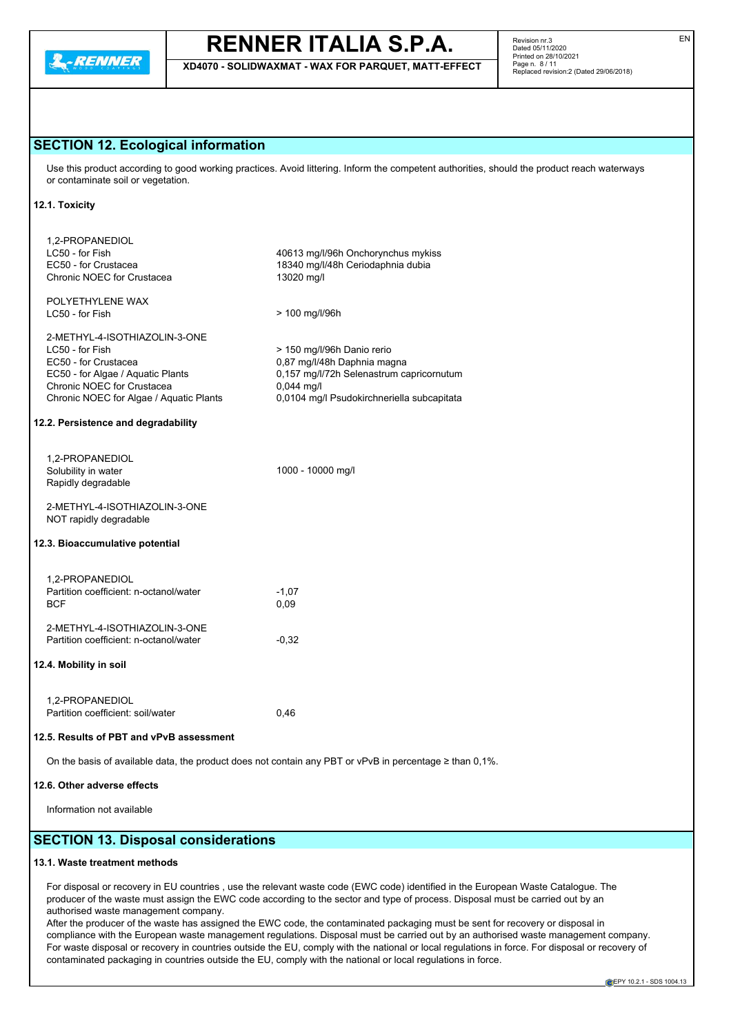

**XD4070 - SOLIDWAXMAT - WAX FOR PARQUET, MATT-EFFECT**

Revision nr.3 Dated 05/11/2020 Printed on 28/10/2021 Page n. 8 / 11 Replaced revision:2 (Dated 29/06/2018)

## **SECTION 12. Ecological information**

Use this product according to good working practices. Avoid littering. Inform the competent authorities, should the product reach waterways or contaminate soil or vegetation.

## **12.1. Toxicity**

| 1,2-PROPANEDIOL<br>LC50 - for Fish<br>EC50 - for Crustacea<br>Chronic NOEC for Crustacea                                                                                                                                      | 40613 mg/l/96h Onchorynchus mykiss<br>18340 mg/l/48h Ceriodaphnia dubia<br>13020 mg/l                                                                               |
|-------------------------------------------------------------------------------------------------------------------------------------------------------------------------------------------------------------------------------|---------------------------------------------------------------------------------------------------------------------------------------------------------------------|
| POLYETHYLENE WAX<br>LC50 - for Fish                                                                                                                                                                                           | > 100 mg/l/96h                                                                                                                                                      |
| 2-METHYL-4-ISOTHIAZOLIN-3-ONE<br>LC50 - for Fish<br>EC50 - for Crustacea<br>EC50 - for Algae / Aquatic Plants<br>Chronic NOEC for Crustacea<br>Chronic NOEC for Algae / Aquatic Plants<br>12.2. Persistence and degradability | > 150 mg/l/96h Danio rerio<br>0,87 mg/l/48h Daphnia magna<br>0,157 mg/l/72h Selenastrum capricornutum<br>$0,044$ mg/l<br>0,0104 mg/l Psudokirchneriella subcapitata |
|                                                                                                                                                                                                                               |                                                                                                                                                                     |
| 1,2-PROPANEDIOL<br>Solubility in water<br>Rapidly degradable                                                                                                                                                                  | 1000 - 10000 mg/l                                                                                                                                                   |
| 2-METHYL-4-ISOTHIAZOLIN-3-ONE<br>NOT rapidly degradable                                                                                                                                                                       |                                                                                                                                                                     |
| 12.3. Bioaccumulative potential                                                                                                                                                                                               |                                                                                                                                                                     |
| 1,2-PROPANEDIOL<br>Partition coefficient: n-octanol/water<br><b>BCF</b>                                                                                                                                                       | $-1.07$<br>0,09                                                                                                                                                     |
| 2-METHYL-4-ISOTHIAZOLIN-3-ONE<br>Partition coefficient: n-octanol/water                                                                                                                                                       | $-0.32$                                                                                                                                                             |
| 12.4. Mobility in soil                                                                                                                                                                                                        |                                                                                                                                                                     |
| 1,2-PROPANEDIOL<br>Partition coefficient: soil/water                                                                                                                                                                          | 0,46                                                                                                                                                                |
| 12.5. Results of PBT and vPvB assessment                                                                                                                                                                                      |                                                                                                                                                                     |
|                                                                                                                                                                                                                               | On the basis of available data, the product does not contain any PBT or vPvB in percentage $\geq$ than 0,1%.                                                        |

#### **12.6. Other adverse effects**

Information not available

## **SECTION 13. Disposal considerations**

## **13.1. Waste treatment methods**

For disposal or recovery in EU countries , use the relevant waste code (EWC code) identified in the European Waste Catalogue. The producer of the waste must assign the EWC code according to the sector and type of process. Disposal must be carried out by an authorised waste management company.

After the producer of the waste has assigned the EWC code, the contaminated packaging must be sent for recovery or disposal in compliance with the European waste management regulations. Disposal must be carried out by an authorised waste management company. For waste disposal or recovery in countries outside the EU, comply with the national or local regulations in force. For disposal or recovery of contaminated packaging in countries outside the EU, comply with the national or local regulations in force.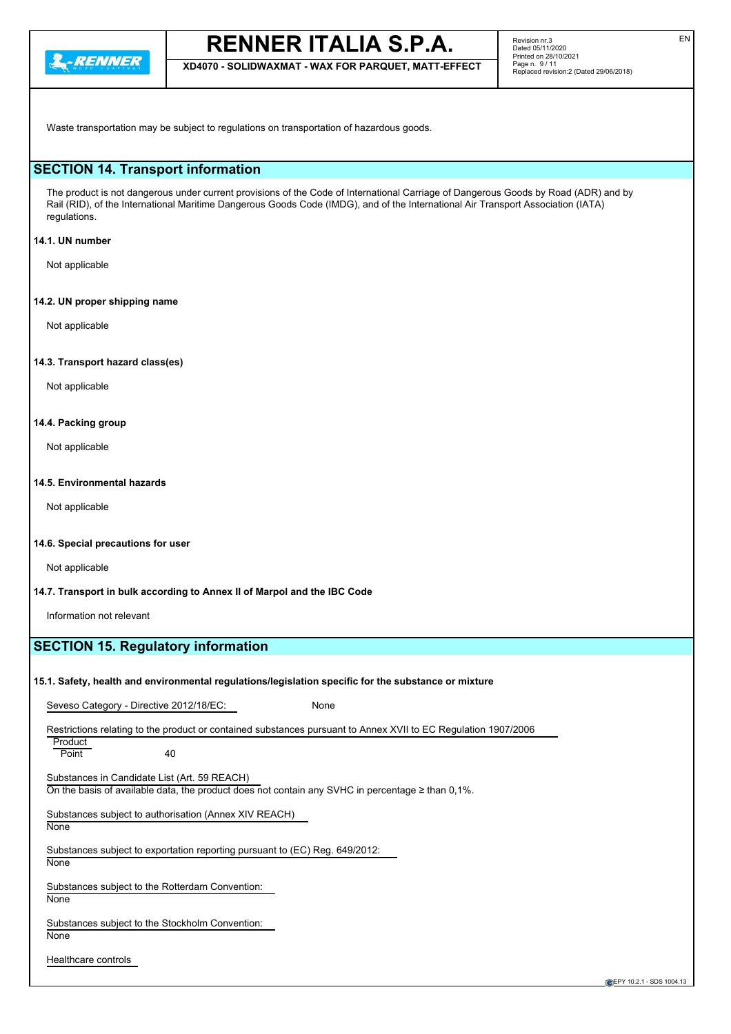

**XD4070 - SOLIDWAXMAT - WAX FOR PARQUET, MATT-EFFECT**

Waste transportation may be subject to regulations on transportation of hazardous goods.

## **SECTION 14. Transport information**

The product is not dangerous under current provisions of the Code of International Carriage of Dangerous Goods by Road (ADR) and by Rail (RID), of the International Maritime Dangerous Goods Code (IMDG), and of the International Air Transport Association (IATA) regulations.

## **14.1. UN number**

Not applicable

## **14.2. UN proper shipping name**

Not applicable

## **14.3. Transport hazard class(es)**

Not applicable

## **14.4. Packing group**

Not applicable

## **14.5. Environmental hazards**

Not applicable

## **14.6. Special precautions for user**

Not applicable

### **14.7. Transport in bulk according to Annex II of Marpol and the IBC Code**

Information not relevant

## **SECTION 15. Regulatory information**

### **15.1. Safety, health and environmental regulations/legislation specific for the substance or mixture**

Seveso Category - Directive 2012/18/EC: None

Restrictions relating to the product or contained substances pursuant to Annex XVII to EC Regulation 1907/2006

**Product** Point 40

Substances in Candidate List (Art. 59 REACH) On the basis of available data, the product does not contain any SVHC in percentage ≥ than 0,1%.

Substances subject to authorisation (Annex XIV REACH)

**None** 

Substances subject to exportation reporting pursuant to (EC) Reg. 649/2012: **None** 

Substances subject to the Rotterdam Convention: **None** 

Substances subject to the Stockholm Convention: **None** 

Healthcare controls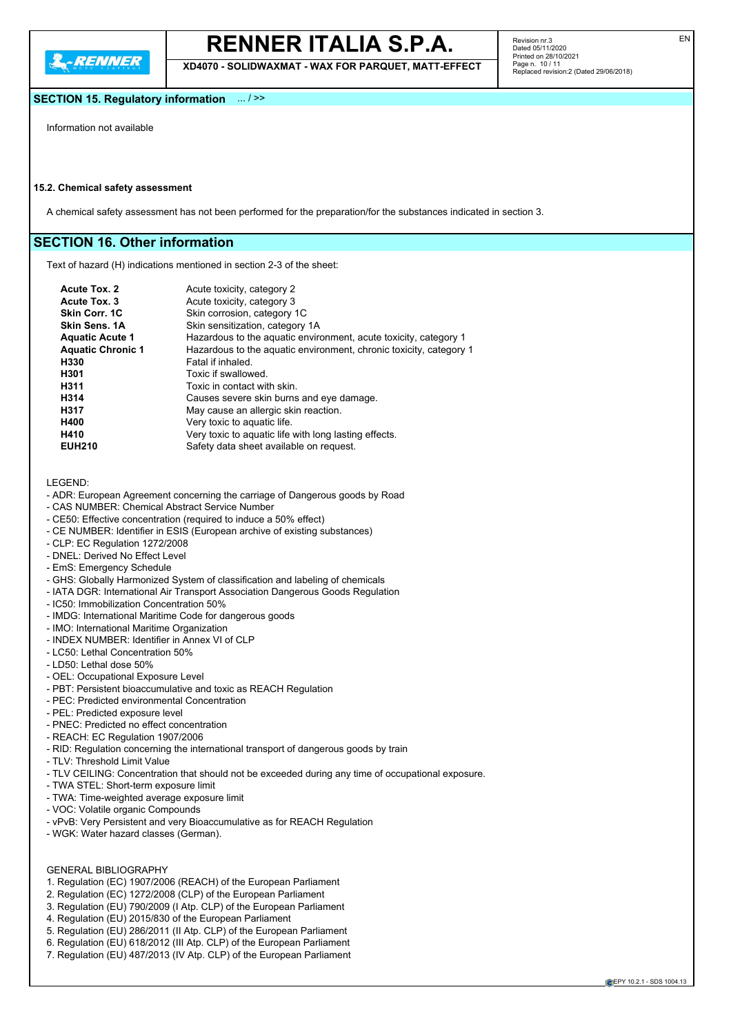**2.RENNER** 

## **RENNER ITALIA S.P.A.**

**XD4070 - SOLIDWAXMAT - WAX FOR PARQUET, MATT-EFFECT**

Revision nr.3 Dated 05/11/2020 Printed on 28/10/2021 Page n. 10 / 11 Replaced revision:2 (Dated 29/06/2018)

## **SECTION 15. Regulatory information** ... / >>

Information not available

## **15.2. Chemical safety assessment**

A chemical safety assessment has not been performed for the preparation/for the substances indicated in section 3.

## **SECTION 16. Other information**

Text of hazard (H) indications mentioned in section 2-3 of the sheet:

| <b>Acute Tox. 2</b>      | Acute toxicity, category 2                                         |
|--------------------------|--------------------------------------------------------------------|
| Acute Tox. 3             | Acute toxicity, category 3                                         |
| <b>Skin Corr. 1C</b>     | Skin corrosion, category 1C                                        |
| <b>Skin Sens. 1A</b>     | Skin sensitization, category 1A                                    |
| <b>Aquatic Acute 1</b>   | Hazardous to the aquatic environment, acute toxicity, category 1   |
| <b>Aquatic Chronic 1</b> | Hazardous to the aquatic environment, chronic toxicity, category 1 |
| H330                     | Fatal if inhaled.                                                  |
| H301                     | Toxic if swallowed.                                                |
| H311                     | Toxic in contact with skin.                                        |
| H314                     | Causes severe skin burns and eye damage.                           |
| H317                     | May cause an allergic skin reaction.                               |
| H400                     | Very toxic to aquatic life.                                        |
| H410                     | Very toxic to aquatic life with long lasting effects.              |
| <b>EUH210</b>            | Safety data sheet available on request.                            |
|                          |                                                                    |

LEGEND:

- ADR: European Agreement concerning the carriage of Dangerous goods by Road
- CAS NUMBER: Chemical Abstract Service Number
- CE50: Effective concentration (required to induce a 50% effect)
- CE NUMBER: Identifier in ESIS (European archive of existing substances)
- CLP: EC Regulation 1272/2008
- DNEL: Derived No Effect Level
- EmS: Emergency Schedule
- GHS: Globally Harmonized System of classification and labeling of chemicals
- IATA DGR: International Air Transport Association Dangerous Goods Regulation
- IC50: Immobilization Concentration 50%
- IMDG: International Maritime Code for dangerous goods
- IMO: International Maritime Organization
- INDEX NUMBER: Identifier in Annex VI of CLP
- LC50: Lethal Concentration 50%
- LD50: Lethal dose 50%
- OEL: Occupational Exposure Level
- PBT: Persistent bioaccumulative and toxic as REACH Regulation
- PEC: Predicted environmental Concentration
- PEL: Predicted exposure level
- PNEC: Predicted no effect concentration
- REACH: EC Regulation 1907/2006
- RID: Regulation concerning the international transport of dangerous goods by train
- TLV: Threshold Limit Value
- TLV CEILING: Concentration that should not be exceeded during any time of occupational exposure.
- TWA STEL: Short-term exposure limit
- TWA: Time-weighted average exposure limit
- VOC: Volatile organic Compounds
- vPvB: Very Persistent and very Bioaccumulative as for REACH Regulation
- WGK: Water hazard classes (German).

## GENERAL BIBLIOGRAPHY

- 1. Regulation (EC) 1907/2006 (REACH) of the European Parliament
- 2. Regulation (EC) 1272/2008 (CLP) of the European Parliament
- 3. Regulation (EU) 790/2009 (I Atp. CLP) of the European Parliament
- 4. Regulation (EU) 2015/830 of the European Parliament
- 5. Regulation (EU) 286/2011 (II Atp. CLP) of the European Parliament
- 6. Regulation (EU) 618/2012 (III Atp. CLP) of the European Parliament
- 7. Regulation (EU) 487/2013 (IV Atp. CLP) of the European Parliament